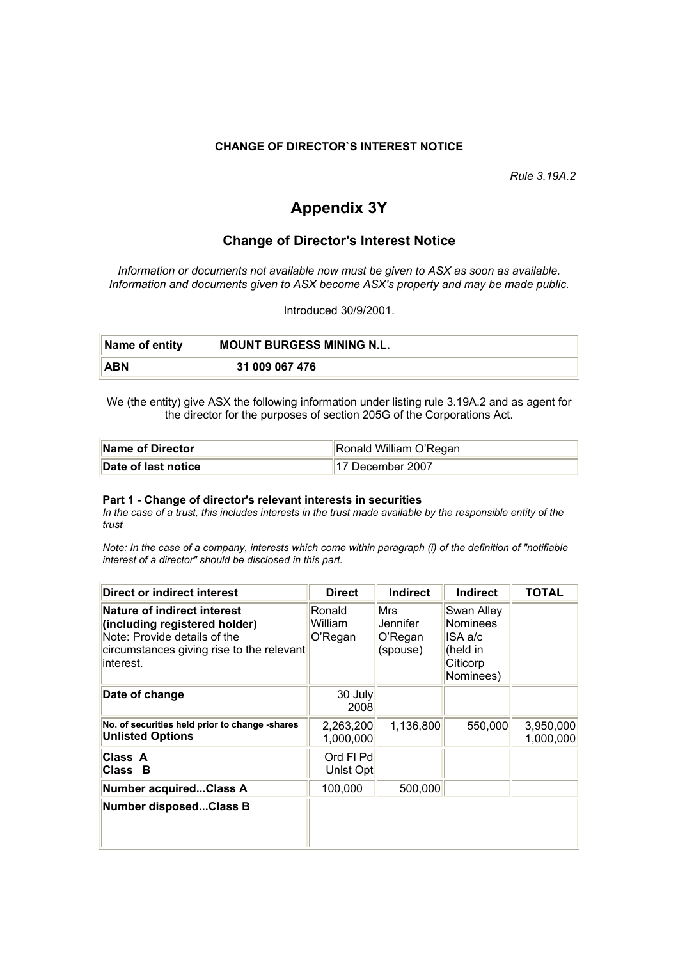#### **CHANGE OF DIRECTOR`S INTEREST NOTICE**

*Rule 3.19A.2*

# **Appendix 3Y**

## **Change of Director's Interest Notice**

*Information or documents not available now must be given to ASX as soon as available. Information and documents given to ASX become ASX's property and may be made public.*

Introduced 30/9/2001.

| ∣Name of entity | <b>MOUNT BURGESS MINING N.L.</b> |
|-----------------|----------------------------------|
| ABN             | 31 009 067 476                   |

We (the entity) give ASX the following information under listing rule 3.19A.2 and as agent for the director for the purposes of section 205G of the Corporations Act.

| Name of Director    | Ronald William O'Regan |
|---------------------|------------------------|
| Date of last notice | 17 December 2007       |

#### **Part 1 - Change of director's relevant interests in securities**

*In the case of a trust, this includes interests in the trust made available by the responsible entity of the trust*

*Note: In the case of a company, interests which come within paragraph (i) of the definition of "notifiable interest of a director" should be disclosed in this part.*

| Direct or indirect interest                                                                                                                                   | <b>Direct</b>                | <b>Indirect</b>                        | <b>Indirect</b>                                                               | <b>TOTAL</b>           |
|---------------------------------------------------------------------------------------------------------------------------------------------------------------|------------------------------|----------------------------------------|-------------------------------------------------------------------------------|------------------------|
| <b>Nature of indirect interest</b><br>(including registered holder)<br>Note: Provide details of the<br>circumstances giving rise to the relevant<br>interest. | Ronald<br>William<br>O'Regan | Mrs<br>Jennifer<br>O'Regan<br>(spouse) | Swan Alley<br><b>Nominees</b><br>ISA a/c<br>(held in<br>Citicorp<br>Nominees) |                        |
| Date of change                                                                                                                                                | 30 July<br>2008              |                                        |                                                                               |                        |
| No. of securities held prior to change -shares<br><b>Unlisted Options</b>                                                                                     | 2,263,200<br>1,000,000       | 1,136,800                              | 550,000                                                                       | 3,950,000<br>1,000,000 |
| Class A<br>Class B                                                                                                                                            | Ord FI Pd<br>Unlst Opt       |                                        |                                                                               |                        |
| <b>Number acquiredClass A</b>                                                                                                                                 | 100,000                      | 500,000                                |                                                                               |                        |
| <b>Number disposedClass B</b>                                                                                                                                 |                              |                                        |                                                                               |                        |